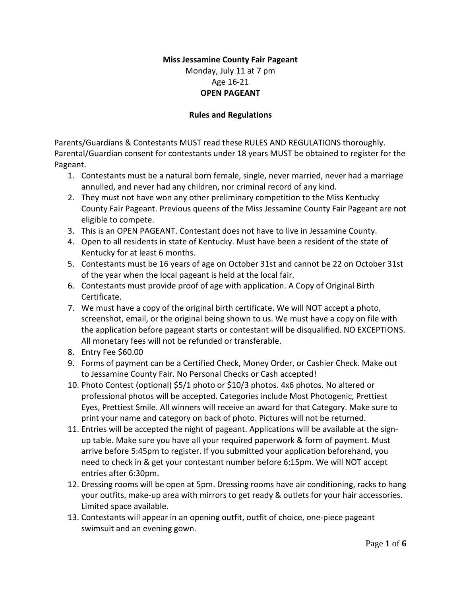### **Miss Jessamine County Fair Pageant**

# Monday, July 11 at 7 pm Age 16-21 **OPEN PAGEANT**

#### **Rules and Regulations**

Parents/Guardians & Contestants MUST read these RULES AND REGULATIONS thoroughly. Parental/Guardian consent for contestants under 18 years MUST be obtained to register for the Pageant.

- 1. Contestants must be a natural born female, single, never married, never had a marriage annulled, and never had any children, nor criminal record of any kind.
- 2. They must not have won any other preliminary competition to the Miss Kentucky County Fair Pageant. Previous queens of the Miss Jessamine County Fair Pageant are not eligible to compete.
- 3. This is an OPEN PAGEANT. Contestant does not have to live in Jessamine County.
- 4. Open to all residents in state of Kentucky. Must have been a resident of the state of Kentucky for at least 6 months.
- 5. Contestants must be 16 years of age on October 31st and cannot be 22 on October 31st of the year when the local pageant is held at the local fair.
- 6. Contestants must provide proof of age with application. A Copy of Original Birth Certificate.
- 7. We must have a copy of the original birth certificate. We will NOT accept a photo, screenshot, email, or the original being shown to us. We must have a copy on file with the application before pageant starts or contestant will be disqualified. NO EXCEPTIONS. All monetary fees will not be refunded or transferable.
- 8. Entry Fee \$60.00
- 9. Forms of payment can be a Certified Check, Money Order, or Cashier Check. Make out to Jessamine County Fair. No Personal Checks or Cash accepted!
- 10. Photo Contest (optional) \$5/1 photo or \$10/3 photos. 4x6 photos. No altered or professional photos will be accepted. Categories include Most Photogenic, Prettiest Eyes, Prettiest Smile. All winners will receive an award for that Category. Make sure to print your name and category on back of photo. Pictures will not be returned.
- 11. Entries will be accepted the night of pageant. Applications will be available at the signup table. Make sure you have all your required paperwork & form of payment. Must arrive before 5:45pm to register. If you submitted your application beforehand, you need to check in & get your contestant number before 6:15pm. We will NOT accept entries after 6:30pm.
- 12. Dressing rooms will be open at 5pm. Dressing rooms have air conditioning, racks to hang your outfits, make-up area with mirrors to get ready & outlets for your hair accessories. Limited space available.
- 13. Contestants will appear in an opening outfit, outfit of choice, one-piece pageant swimsuit and an evening gown.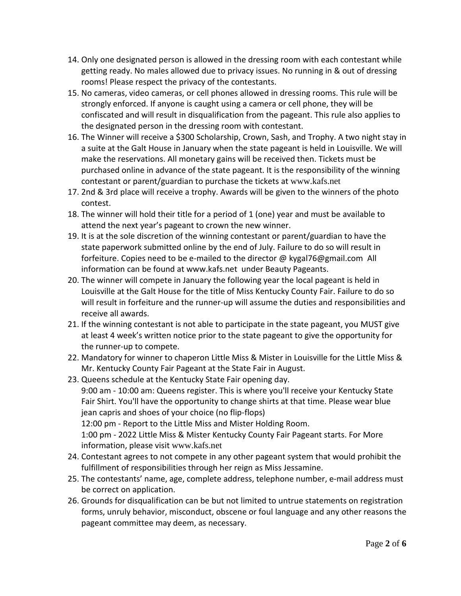- 14. Only one designated person is allowed in the dressing room with each contestant while getting ready. No males allowed due to privacy issues. No running in & out of dressing rooms! Please respect the privacy of the contestants.
- 15. No cameras, video cameras, or cell phones allowed in dressing rooms. This rule will be strongly enforced. If anyone is caught using a camera or cell phone, they will be confiscated and will result in disqualification from the pageant. This rule also applies to the designated person in the dressing room with contestant.
- 16. The Winner will receive a \$300 Scholarship, Crown, Sash, and Trophy. A two night stay in a suite at the Galt House in January when the state pageant is held in Louisville. We will make the reservations. All monetary gains will be received then. Tickets must be purchased online in advance of the state pageant. It is the responsibility of the winning contestant or parent/guardian to purchase the tickets at [www.kafs.net](http://www.kafs.net/)
- 17. 2nd & 3rd place will receive a trophy. Awards will be given to the winners of the photo contest.
- 18. The winner will hold their title for a period of 1 (one) year and must be available to attend the next year's pageant to crown the new winner.
- 19. It is at the sole discretion of the winning contestant or parent/guardian to have the state paperwork submitted online by the end of July. Failure to do so will result in forfeiture. Copies need to be e-mailed to the director @ [kygal76@gmail.com](mailto:kygal76@gmail.com) All information can be found at [www.kafs.net](http://www.kafs.net/) under Beauty Pageants.
- 20. The winner will compete in January the following year the local pageant is held in Louisville at the Galt House for the title of Miss Kentucky County Fair. Failure to do so will result in forfeiture and the runner-up will assume the duties and responsibilities and receive all awards.
- 21. If the winning contestant is not able to participate in the state pageant, you MUST give at least 4 week's written notice prior to the state pageant to give the opportunity for the runner-up to compete.
- 22. Mandatory for winner to chaperon Little Miss & Mister in Louisville for the Little Miss & Mr. Kentucky County Fair Pageant at the State Fair in August.
- 23. Queens schedule at the Kentucky State Fair opening day. 9:00 am - 10:00 am: Queens register. This is where you'll receive your Kentucky State Fair Shirt. You'll have the opportunity to change shirts at that time. Please wear blue jean capris and shoes of your choice (no flip-flops) 12:00 pm - Report to the Little Miss and Mister Holding Room. 1:00 pm - 2022 Little Miss & Mister Kentucky County Fair Pageant starts. For More information, please visit [www.kafs.net](http://www.kafs.net/)
- 24. Contestant agrees to not compete in any other pageant system that would prohibit the fulfillment of responsibilities through her reign as Miss Jessamine.
- 25. The contestants' name, age, complete address, telephone number, e-mail address must be correct on application.
- 26. Grounds for disqualification can be but not limited to untrue statements on registration forms, unruly behavior, misconduct, obscene or foul language and any other reasons the pageant committee may deem, as necessary.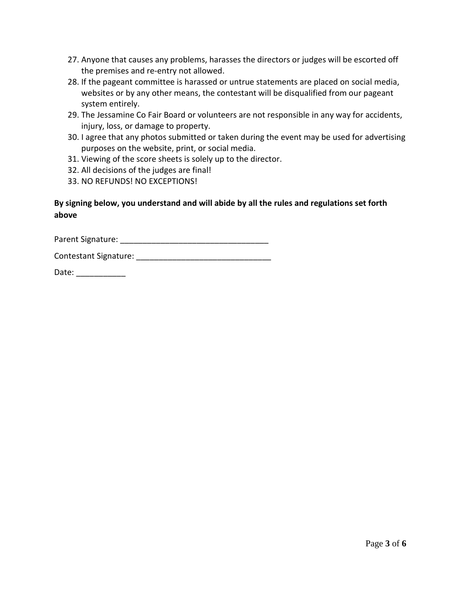- 27. Anyone that causes any problems, harasses the directors or judges will be escorted off the premises and re-entry not allowed.
- 28. If the pageant committee is harassed or untrue statements are placed on social media, websites or by any other means, the contestant will be disqualified from our pageant system entirely.
- 29. The Jessamine Co Fair Board or volunteers are not responsible in any way for accidents, injury, loss, or damage to property.
- 30. I agree that any photos submitted or taken during the event may be used for advertising purposes on the website, print, or social media.
- 31. Viewing of the score sheets is solely up to the director.
- 32. All decisions of the judges are final!
- 33. NO REFUNDS! NO EXCEPTIONS!

# **By signing below, you understand and will abide by all the rules and regulations set forth above**

Parent Signature: **Example 2018** 

Contestant Signature: \_\_\_\_\_\_\_\_\_\_\_\_\_\_\_\_\_\_\_\_\_\_\_\_\_\_\_\_\_\_

Date: \_\_\_\_\_\_\_\_\_\_\_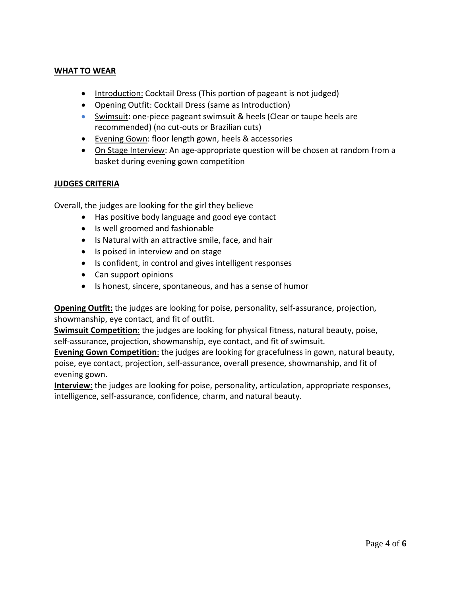### **WHAT TO WEAR**

- Introduction: Cocktail Dress (This portion of pageant is not judged)
- Opening Outfit: Cocktail Dress (same as Introduction)
- Swimsuit: one-piece pageant swimsuit & heels (Clear or taupe heels are recommended) (no cut-outs or Brazilian cuts)
- Evening Gown: floor length gown, heels & accessories
- On Stage Interview: An age-appropriate question will be chosen at random from a basket during evening gown competition

## **JUDGES CRITERIA**

Overall, the judges are looking for the girl they believe

- Has positive body language and good eye contact
- Is well groomed and fashionable
- Is Natural with an attractive smile, face, and hair
- Is poised in interview and on stage
- Is confident, in control and gives intelligent responses
- Can support opinions
- Is honest, sincere, spontaneous, and has a sense of humor

**Opening Outfit:** the judges are looking for poise, personality, self-assurance, projection, showmanship, eye contact, and fit of outfit.

**Swimsuit Competition**: the judges are looking for physical fitness, natural beauty, poise, self-assurance, projection, showmanship, eye contact, and fit of swimsuit.

**Evening Gown Competition**: the judges are looking for gracefulness in gown, natural beauty, poise, eye contact, projection, self-assurance, overall presence, showmanship, and fit of evening gown.

**Interview**: the judges are looking for poise, personality, articulation, appropriate responses, intelligence, self-assurance, confidence, charm, and natural beauty.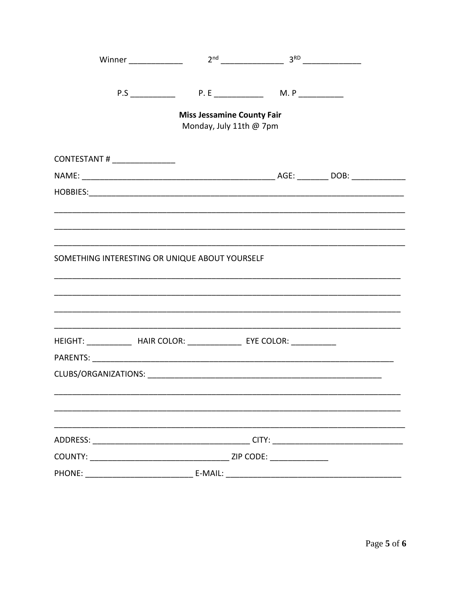| Winner _____________                                                             |                                                              |                                                           |  |
|----------------------------------------------------------------------------------|--------------------------------------------------------------|-----------------------------------------------------------|--|
|                                                                                  |                                                              | P.S _____________   P. E ______________  M. P ___________ |  |
|                                                                                  | <b>Miss Jessamine County Fair</b><br>Monday, July 11th @ 7pm |                                                           |  |
|                                                                                  |                                                              |                                                           |  |
|                                                                                  |                                                              |                                                           |  |
|                                                                                  |                                                              |                                                           |  |
|                                                                                  |                                                              |                                                           |  |
|                                                                                  |                                                              |                                                           |  |
| SOMETHING INTERESTING OR UNIQUE ABOUT YOURSELF                                   |                                                              |                                                           |  |
| HEIGHT: _______________ HAIR COLOR: ________________ EYE COLOR: ________________ |                                                              |                                                           |  |
|                                                                                  |                                                              |                                                           |  |
|                                                                                  |                                                              |                                                           |  |
|                                                                                  |                                                              |                                                           |  |
|                                                                                  |                                                              |                                                           |  |
|                                                                                  |                                                              |                                                           |  |